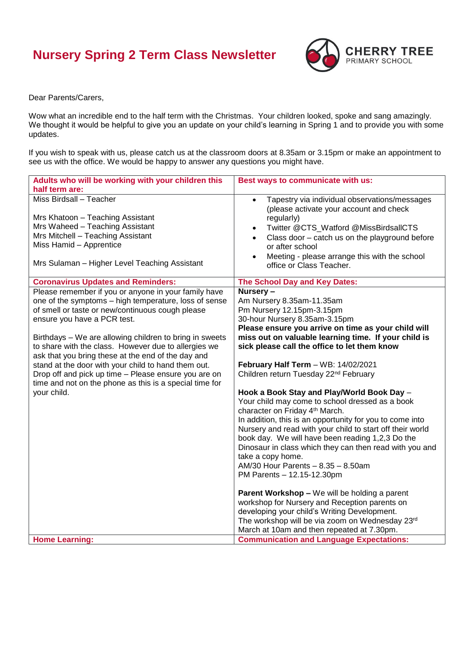## **Nursery Spring 2 Term Class Newsletter**



Dear Parents/Carers,

Wow what an incredible end to the half term with the Christmas. Your children looked, spoke and sang amazingly. We thought it would be helpful to give you an update on your child's learning in Spring 1 and to provide you with some updates.

If you wish to speak with us, please catch us at the classroom doors at 8.35am or 3.15pm or make an appointment to see us with the office. We would be happy to answer any questions you might have.

| Adults who will be working with your children this      | Best ways to communicate with us:                                                                     |
|---------------------------------------------------------|-------------------------------------------------------------------------------------------------------|
| half term are:                                          |                                                                                                       |
| Miss Birdsall - Teacher                                 | Tapestry via individual observations/messages<br>$\bullet$<br>(please activate your account and check |
| Mrs Khatoon - Teaching Assistant                        | regularly)                                                                                            |
| Mrs Waheed - Teaching Assistant                         | Twitter @CTS_Watford @MissBirdsallCTS<br>$\bullet$                                                    |
| Mrs Mitchell - Teaching Assistant                       | Class door - catch us on the playground before<br>$\bullet$                                           |
| Miss Hamid - Apprentice                                 | or after school                                                                                       |
| Mrs Sulaman - Higher Level Teaching Assistant           | Meeting - please arrange this with the school<br>$\bullet$<br>office or Class Teacher.                |
| <b>Coronavirus Updates and Reminders:</b>               | The School Day and Key Dates:                                                                         |
| Please remember if you or anyone in your family have    | Nursery-                                                                                              |
| one of the symptoms - high temperature, loss of sense   | Am Nursery 8.35am-11.35am                                                                             |
| of smell or taste or new/continuous cough please        | Pm Nursery 12.15pm-3.15pm                                                                             |
| ensure you have a PCR test.                             | 30-hour Nursery 8.35am-3.15pm                                                                         |
|                                                         | Please ensure you arrive on time as your child will                                                   |
| Birthdays - We are allowing children to bring in sweets | miss out on valuable learning time. If your child is                                                  |
| to share with the class. However due to allergies we    | sick please call the office to let them know                                                          |
| ask that you bring these at the end of the day and      |                                                                                                       |
| stand at the door with your child to hand them out.     | February Half Term - WB: 14/02/2021                                                                   |
| Drop off and pick up time - Please ensure you are on    | Children return Tuesday 22 <sup>nd</sup> February                                                     |
| time and not on the phone as this is a special time for |                                                                                                       |
| your child.                                             | Hook a Book Stay and Play/World Book Day -                                                            |
|                                                         | Your child may come to school dressed as a book                                                       |
|                                                         | character on Friday 4th March.                                                                        |
|                                                         | In addition, this is an opportunity for you to come into                                              |
|                                                         | Nursery and read with your child to start off their world                                             |
|                                                         | book day. We will have been reading 1,2,3 Do the                                                      |
|                                                         | Dinosaur in class which they can then read with you and                                               |
|                                                         | take a copy home.                                                                                     |
|                                                         | AM/30 Hour Parents - 8.35 - 8.50am                                                                    |
|                                                         | PM Parents - 12.15-12.30pm                                                                            |
|                                                         | <b>Parent Workshop - We will be holding a parent</b>                                                  |
|                                                         | workshop for Nursery and Reception parents on                                                         |
|                                                         | developing your child's Writing Development.                                                          |
|                                                         | The workshop will be via zoom on Wednesday 23rd                                                       |
|                                                         | March at 10am and then repeated at 7.30pm.                                                            |
| <b>Home Learning:</b>                                   | <b>Communication and Language Expectations:</b>                                                       |